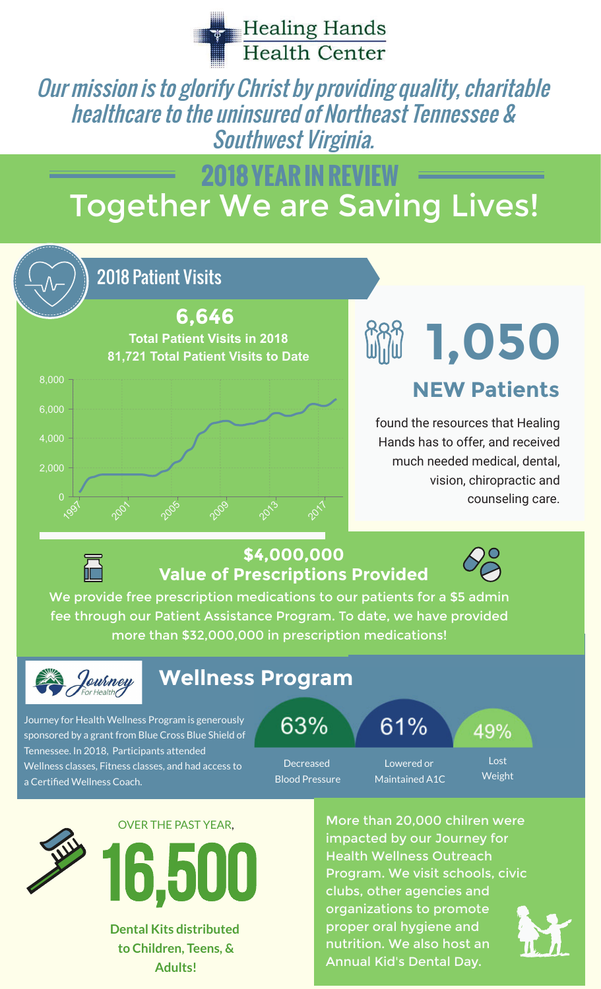

Our mission is to glorify Christ by providing quality, charitable healthcare to the uninsured of Northeast Tennessee & Southwest Virginia.

# Together We are Saving Lives! **2018 YEAR IN REVIEW**

### 2018 Patient Visits



# **1,050 NEW Patients**

found the resources that Healing Hands has to offer, and received much needed medical, dental, vision, chiropractic and counseling care.



#### **\$4,000,000 Value of Prescriptions Provided**

We provide free prescription medications to our patients for a \$5 admin fee through our Patient Assistance Program. To date, we have provided more than \$32,000,000 in prescription medications!



## **Wellness Program**

Journey for Health Wellness Program is generously sponsored by a grant from Blue Cross Blue Shield of Tennessee. In 2018, Participants attended Wellness classes, Fitness classes, and had access to a Certified Wellness Coach.

63%

Decreased Blood Pressure 61%

Lowered or Maintained A1C

Lost Weight

49%





**Dental Kits distributed to Children, Teens, & Adults!**

More than 20,000 chilren were impacted by our Journey for Health Wellness Outreach Program. We visit schools, civic clubs, other agencies and organizations to promote proper oral hygiene and nutrition. We also host an Annual Kid's Dental Day.